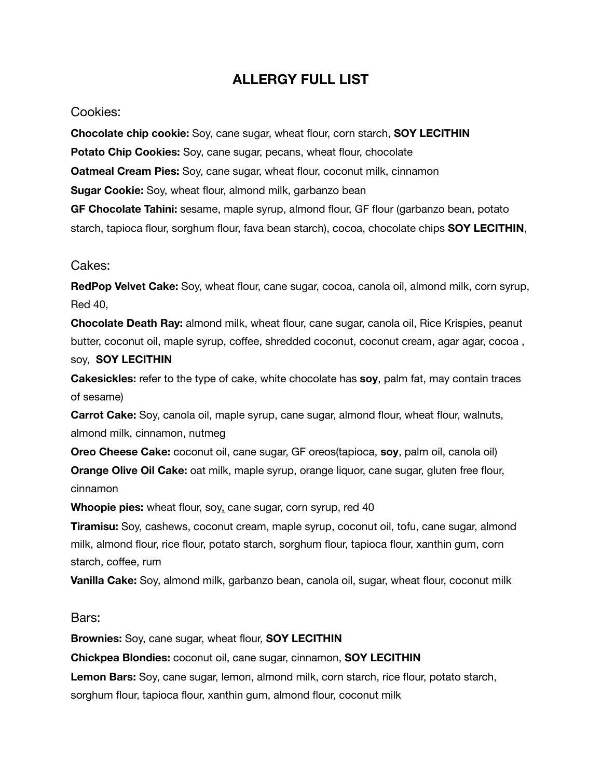## **ALLERGY FULL LIST**

## Cookies:

**Chocolate chip cookie:** Soy, cane sugar, wheat flour, corn starch, **SOY LECITHIN Potato Chip Cookies:** Soy, cane sugar, pecans, wheat flour, chocolate **Oatmeal Cream Pies:** Soy, cane sugar, wheat flour, coconut milk, cinnamon **Sugar Cookie:** Soy, wheat flour, almond milk, garbanzo bean **GF Chocolate Tahini:** sesame, maple syrup, almond flour, GF flour (garbanzo bean, potato starch, tapioca flour, sorghum flour, fava bean starch), cocoa, chocolate chips **SOY LECITHIN**,

## Cakes:

**RedPop Velvet Cake:** Soy, wheat flour, cane sugar, cocoa, canola oil, almond milk, corn syrup, Red 40,

**Chocolate Death Ray:** almond milk, wheat flour, cane sugar, canola oil, Rice Krispies, peanut butter, coconut oil, maple syrup, coffee, shredded coconut, coconut cream, agar agar, cocoa ,

## soy, **SOY LECITHIN**

**Cakesickles:** refer to the type of cake, white chocolate has **soy**, palm fat, may contain traces of sesame)

**Carrot Cake:** Soy, canola oil, maple syrup, cane sugar, almond flour, wheat flour, walnuts, almond milk, cinnamon, nutmeg

**Oreo Cheese Cake:** coconut oil, cane sugar, GF oreos(tapioca, **soy**, palm oil, canola oil) **Orange Olive Oil Cake:** oat milk, maple syrup, orange liquor, cane sugar, gluten free flour, cinnamon

**Whoopie pies:** wheat flour, soy, cane sugar, corn syrup, red 40

**Tiramisu:** Soy, cashews, coconut cream, maple syrup, coconut oil, tofu, cane sugar, almond milk, almond flour, rice flour, potato starch, sorghum flour, tapioca flour, xanthin gum, corn starch, coffee, rum

**Vanilla Cake:** Soy, almond milk, garbanzo bean, canola oil, sugar, wheat flour, coconut milk

Bars:

**Brownies:** Soy, cane sugar, wheat flour, **SOY LECITHIN**

**Chickpea Blondies:** coconut oil, cane sugar, cinnamon, **SOY LECITHIN**

**Lemon Bars:** Soy, cane sugar, lemon, almond milk, corn starch, rice flour, potato starch, sorghum flour, tapioca flour, xanthin gum, almond flour, coconut milk